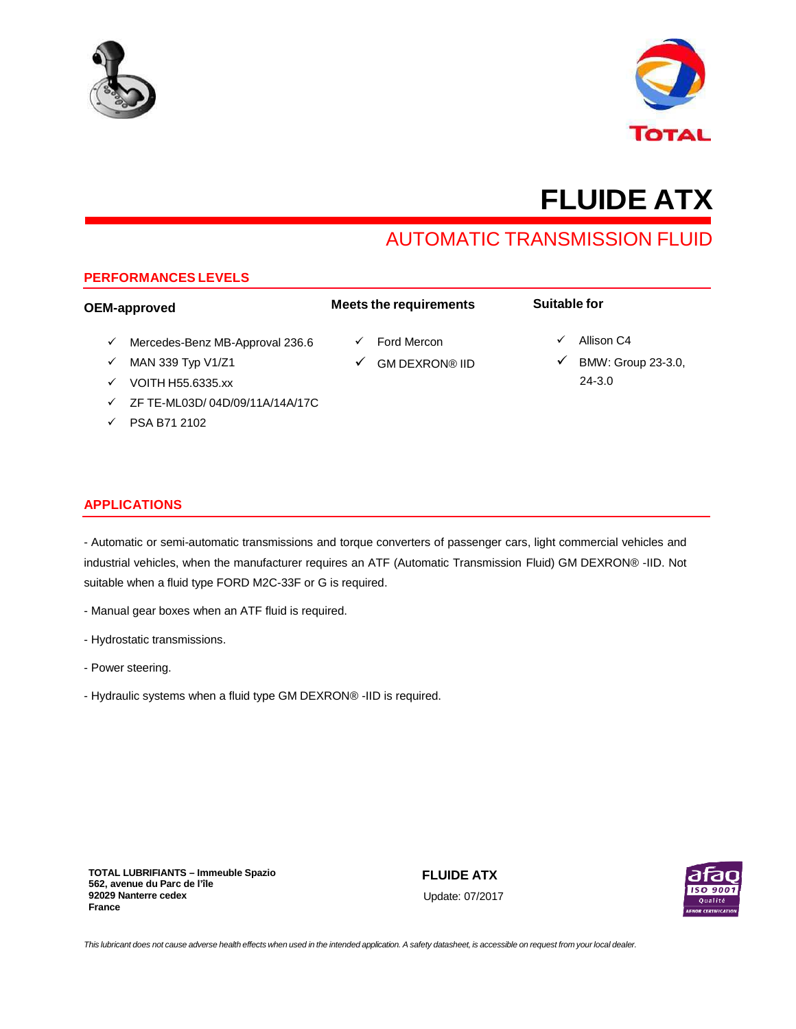



# **FLUIDE ATX**

# AUTOMATIC TRANSMISSION FLUID

# **PERFORMANCES LEVELS**

#### **OEM-approved**  $\checkmark$  Mercedes-Benz MB-Approval 236.6  $\times$  MAN 339 Typ V1/Z1  $V$  VOITH H55.6335.xx ZF TE-ML03D/ 04D/09/11A/14A/17C **Meets the requirements** Ford Mercon GM DEXRON® IID **Suitable for**  $\checkmark$  Allison C4  $\not\blacktriangleright$  BMW: Group 23-3.0, 24-3.0

**APPLICATIONS**

 $\sqrt{}$  PSA B71 2102

# - Automatic or semi-automatic transmissions and torque converters of passenger cars, light commercial vehicles and industrial vehicles, when the manufacturer requires an ATF (Automatic Transmission Fluid) GM DEXRON® -IID. Not suitable when a fluid type FORD M2C-33F or G is required.

- Manual gear boxes when an ATF fluid is required.
- Hydrostatic transmissions.
- Power steering.
- Hydraulic systems when a fluid type GM DEXRON® -IID is required.

**TOTAL LUBRIFIANTS – Immeuble Spazio 562, avenue du Parc de l'île 92029 Nanterre cedex France**

**FLUIDE ATX** Update: 07/2017



This lubricant does not cause adverse health effects when used in the intended application. A safety datasheet, is accessible on request from your local dealer.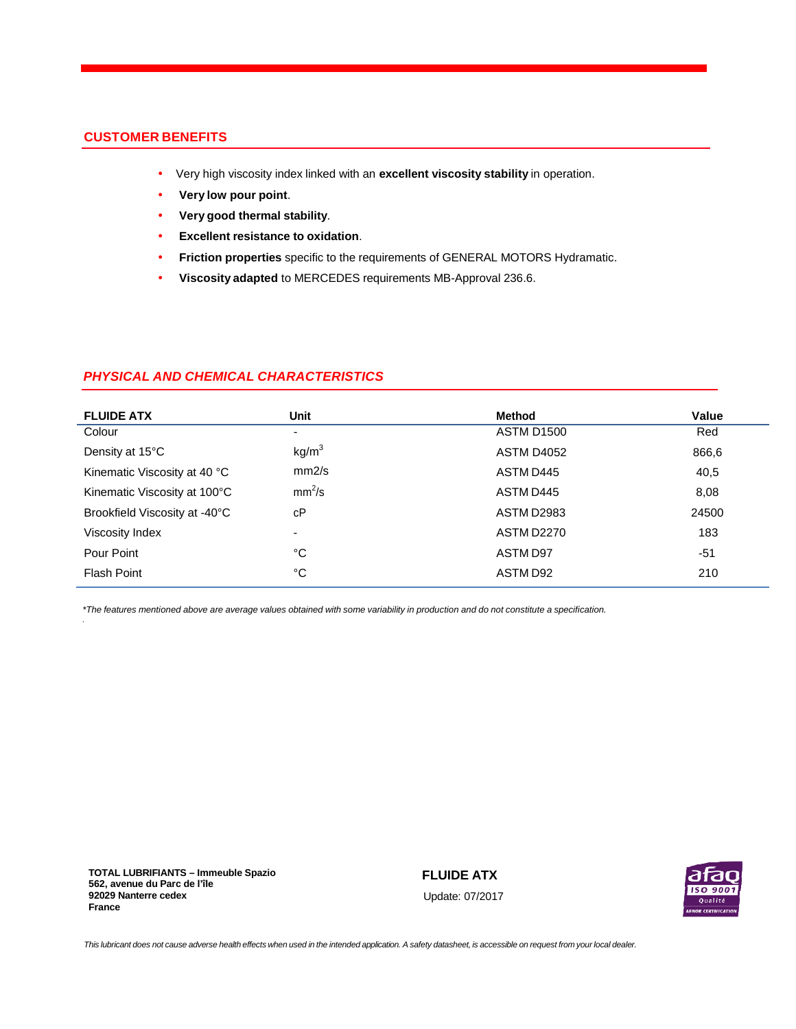# **CUSTOMER BENEFITS**

- Very high viscosity index linked with an **excellent viscosity stability** in operation.
- **Very low pour point**.
- **Very good thermal stability**.
- **Excellent resistance to oxidation**.
- **Friction properties** specific to the requirements of GENERAL MOTORS Hydramatic.
- **Viscosity adapted** to MERCEDES requirements MB-Approval 236.6.

# **PHYSICAL AND CHEMICAL CHARACTERISTICS**

| <b>FLUIDE ATX</b>             | Unit                     | Method            | Value |
|-------------------------------|--------------------------|-------------------|-------|
| Colour                        | -                        | <b>ASTM D1500</b> | Red   |
| Density at 15°C               | kg/m <sup>3</sup>        | <b>ASTM D4052</b> | 866,6 |
| Kinematic Viscosity at 40 °C  | mm2/s                    | ASTM D445         | 40,5  |
| Kinematic Viscosity at 100°C  | mm <sup>2</sup> /s       | ASTM D445         | 8,08  |
| Brookfield Viscosity at -40°C | сP                       | ASTM D2983        | 24500 |
| Viscosity Index               | $\overline{\phantom{0}}$ | <b>ASTM D2270</b> | 183   |
| Pour Point                    | °C                       | ASTM D97          | $-51$ |
| <b>Flash Point</b>            | °C                       | ASTM D92          | 210   |

\*The features mentioned above are average values obtained with some variability in production and do not constitute a specification.

**TOTAL LUBRIFIANTS – Immeuble Spazio 562, avenue du Parc de l'île 92029 Nanterre cedex France**

.

**FLUIDE ATX** Update: 07/2017



This lubricant does not cause adverse health effects when used in the intended application. A safety datasheet, is accessible on request from your local dealer.